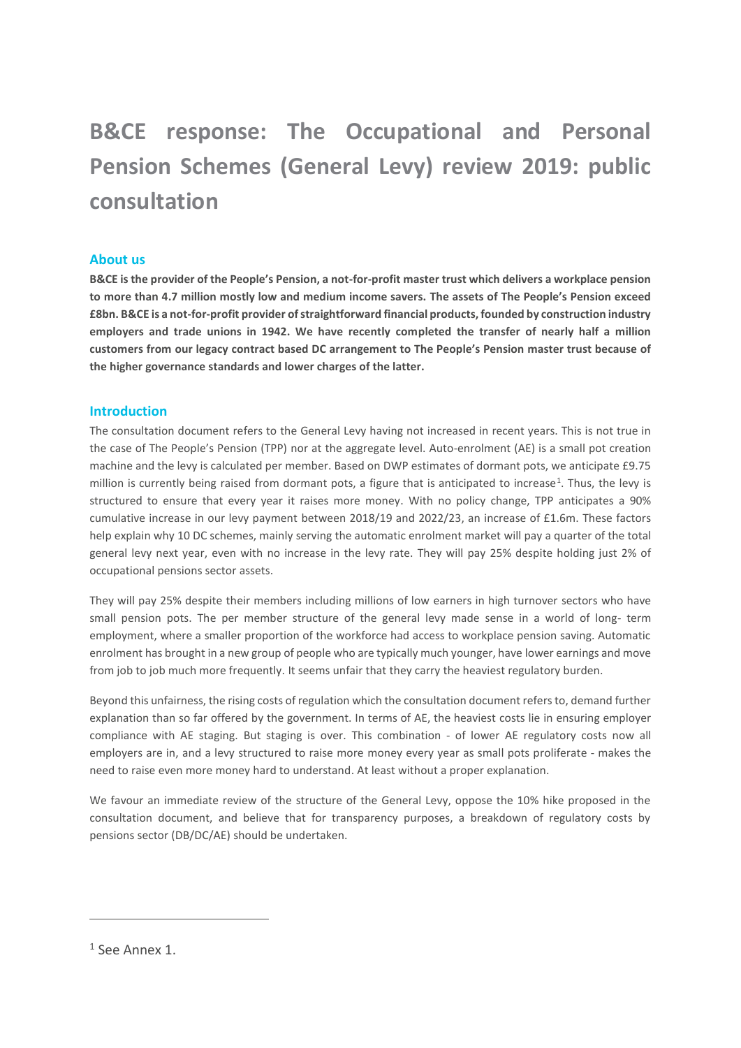# **B&CE response: The Occupational and Personal Pension Schemes (General Levy) review 2019: public consultation**

### **About us**

**B&CE is the provider of the People's Pension, a not-for-profit master trust which delivers a workplace pension to more than 4.7 million mostly low and medium income savers. The assets of The People's Pension exceed £8bn. B&CE is a not-for-profit provider of straightforward financial products, founded by construction industry employers and trade unions in 1942. We have recently completed the transfer of nearly half a million customers from our legacy contract based DC arrangement to The People's Pension master trust because of the higher governance standards and lower charges of the latter.**

### **Introduction**

The consultation document refers to the General Levy having not increased in recent years. This is not true in the case of The People's Pension (TPP) nor at the aggregate level. Auto-enrolment (AE) is a small pot creation machine and the levy is calculated per member. Based on DWP estimates of dormant pots, we anticipate £9.75 million is currently being raised from dormant pots, a figure that is anticipated to increase<sup>1</sup>. Thus, the levy is structured to ensure that every year it raises more money. With no policy change, TPP anticipates a 90% cumulative increase in our levy payment between 2018/19 and 2022/23, an increase of £1.6m. These factors help explain why 10 DC schemes, mainly serving the automatic enrolment market will pay a quarter of the total general levy next year, even with no increase in the levy rate. They will pay 25% despite holding just 2% of occupational pensions sector assets.

They will pay 25% despite their members including millions of low earners in high turnover sectors who have small pension pots. The per member structure of the general levy made sense in a world of long- term employment, where a smaller proportion of the workforce had access to workplace pension saving. Automatic enrolment has brought in a new group of people who are typically much younger, have lower earnings and move from job to job much more frequently. It seems unfair that they carry the heaviest regulatory burden.

Beyond this unfairness, the rising costs of regulation which the consultation document refers to, demand further explanation than so far offered by the government. In terms of AE, the heaviest costs lie in ensuring employer compliance with AE staging. But staging is over. This combination - of lower AE regulatory costs now all employers are in, and a levy structured to raise more money every year as small pots proliferate - makes the need to raise even more money hard to understand. At least without a proper explanation.

We favour an immediate review of the structure of the General Levy, oppose the 10% hike proposed in the consultation document, and believe that for transparency purposes, a breakdown of regulatory costs by pensions sector (DB/DC/AE) should be undertaken.

1

<sup>1</sup> See Annex 1.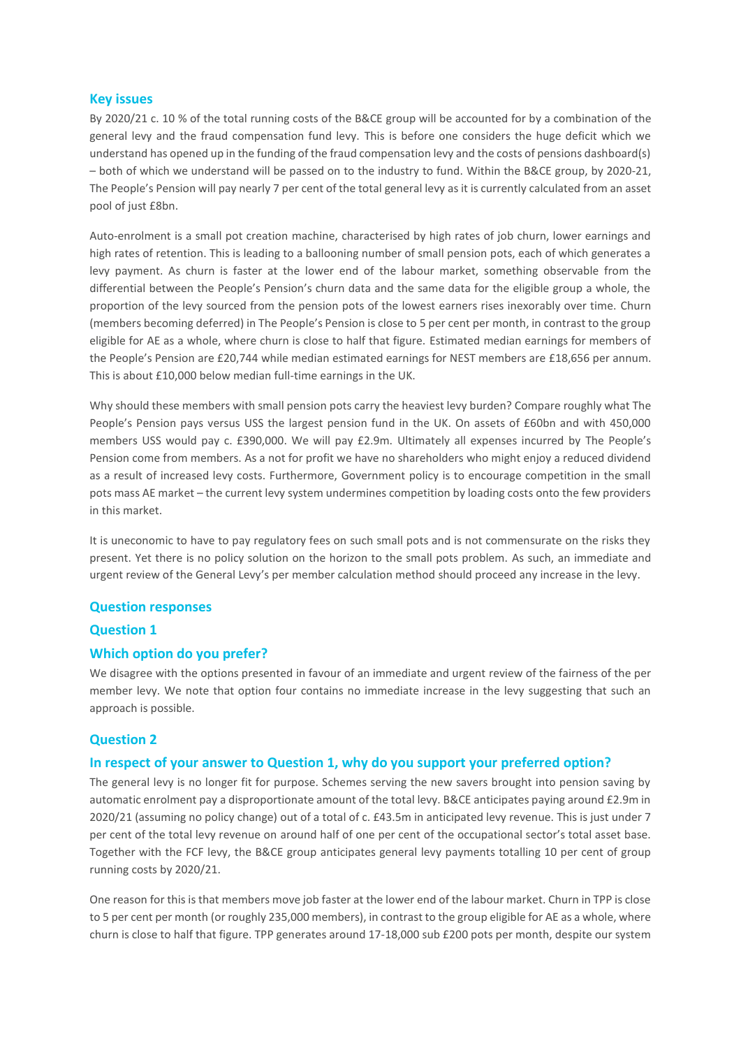### **Key issues**

By 2020/21 c. 10 % of the total running costs of the B&CE group will be accounted for by a combination of the general levy and the fraud compensation fund levy. This is before one considers the huge deficit which we understand has opened up in the funding of the fraud compensation levy and the costs of pensions dashboard(s) – both of which we understand will be passed on to the industry to fund. Within the B&CE group, by 2020-21, The People's Pension will pay nearly 7 per cent of the total general levy as it is currently calculated from an asset pool of just £8bn.

Auto-enrolment is a small pot creation machine, characterised by high rates of job churn, lower earnings and high rates of retention. This is leading to a ballooning number of small pension pots, each of which generates a levy payment. As churn is faster at the lower end of the labour market, something observable from the differential between the People's Pension's churn data and the same data for the eligible group a whole, the proportion of the levy sourced from the pension pots of the lowest earners rises inexorably over time. Churn (members becoming deferred) in The People's Pension is close to 5 per cent per month, in contrast to the group eligible for AE as a whole, where churn is close to half that figure. Estimated median earnings for members of the People's Pension are £20,744 while median estimated earnings for NEST members are £18,656 per annum. This is about £10,000 below median full-time earnings in the UK.

Why should these members with small pension pots carry the heaviest levy burden? Compare roughly what The People's Pension pays versus USS the largest pension fund in the UK. On assets of £60bn and with 450,000 members USS would pay c. £390,000. We will pay £2.9m. Ultimately all expenses incurred by The People's Pension come from members. As a not for profit we have no shareholders who might enjoy a reduced dividend as a result of increased levy costs. Furthermore, Government policy is to encourage competition in the small pots mass AE market – the current levy system undermines competition by loading costs onto the few providers in this market.

It is uneconomic to have to pay regulatory fees on such small pots and is not commensurate on the risks they present. Yet there is no policy solution on the horizon to the small pots problem. As such, an immediate and urgent review of the General Levy's per member calculation method should proceed any increase in the levy.

### **Question responses**

### **Question 1**

### **Which option do you prefer?**

We disagree with the options presented in favour of an immediate and urgent review of the fairness of the per member levy. We note that option four contains no immediate increase in the levy suggesting that such an approach is possible.

### **Question 2**

#### **In respect of your answer to Question 1, why do you support your preferred option?**

The general levy is no longer fit for purpose. Schemes serving the new savers brought into pension saving by automatic enrolment pay a disproportionate amount of the total levy. B&CE anticipates paying around £2.9m in 2020/21 (assuming no policy change) out of a total of c. £43.5m in anticipated levy revenue. This is just under 7 per cent of the total levy revenue on around half of one per cent of the occupational sector's total asset base. Together with the FCF levy, the B&CE group anticipates general levy payments totalling 10 per cent of group running costs by 2020/21.

One reason for this is that members move job faster at the lower end of the labour market. Churn in TPP is close to 5 per cent per month (or roughly 235,000 members), in contrast to the group eligible for AE as a whole, where churn is close to half that figure. TPP generates around 17-18,000 sub £200 pots per month, despite our system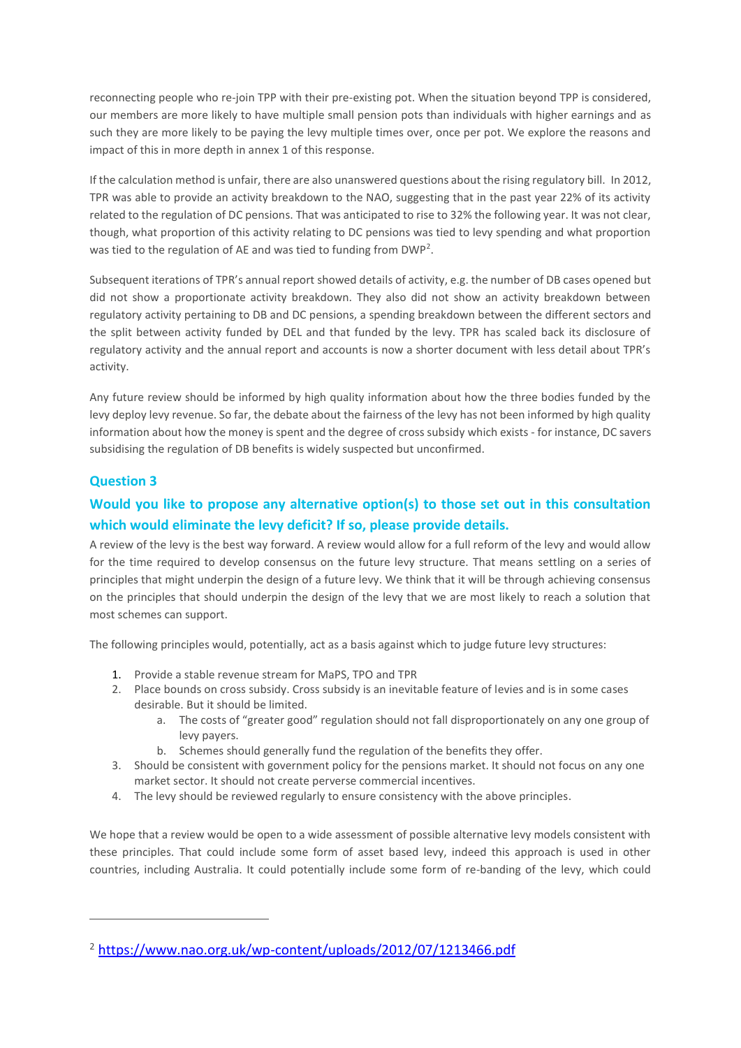reconnecting people who re-join TPP with their pre-existing pot. When the situation beyond TPP is considered, our members are more likely to have multiple small pension pots than individuals with higher earnings and as such they are more likely to be paying the levy multiple times over, once per pot. We explore the reasons and impact of this in more depth in annex 1 of this response.

If the calculation method is unfair, there are also unanswered questions about the rising regulatory bill. In 2012, TPR was able to provide an activity breakdown to the NAO, suggesting that in the past year 22% of its activity related to the regulation of DC pensions. That was anticipated to rise to 32% the following year. It was not clear, though, what proportion of this activity relating to DC pensions was tied to levy spending and what proportion was tied to the regulation of AE and was tied to funding from DWP<sup>2</sup>.

Subsequent iterations of TPR's annual report showed details of activity, e.g. the number of DB cases opened but did not show a proportionate activity breakdown. They also did not show an activity breakdown between regulatory activity pertaining to DB and DC pensions, a spending breakdown between the different sectors and the split between activity funded by DEL and that funded by the levy. TPR has scaled back its disclosure of regulatory activity and the annual report and accounts is now a shorter document with less detail about TPR's activity.

Any future review should be informed by high quality information about how the three bodies funded by the levy deploy levy revenue. So far, the debate about the fairness of the levy has not been informed by high quality information about how the money is spent and the degree of cross subsidy which exists - for instance, DC savers subsidising the regulation of DB benefits is widely suspected but unconfirmed.

### **Question 3**

1

### **Would you like to propose any alternative option(s) to those set out in this consultation which would eliminate the levy deficit? If so, please provide details.**

A review of the levy is the best way forward. A review would allow for a full reform of the levy and would allow for the time required to develop consensus on the future levy structure. That means settling on a series of principles that might underpin the design of a future levy. We think that it will be through achieving consensus on the principles that should underpin the design of the levy that we are most likely to reach a solution that most schemes can support.

The following principles would, potentially, act as a basis against which to judge future levy structures:

- 1. Provide a stable revenue stream for MaPS, TPO and TPR
- 2. Place bounds on cross subsidy. Cross subsidy is an inevitable feature of levies and is in some cases desirable. But it should be limited.
	- a. The costs of "greater good" regulation should not fall disproportionately on any one group of levy payers.
	- b. Schemes should generally fund the regulation of the benefits they offer.
- 3. Should be consistent with government policy for the pensions market. It should not focus on any one market sector. It should not create perverse commercial incentives.
- 4. The levy should be reviewed regularly to ensure consistency with the above principles.

We hope that a review would be open to a wide assessment of possible alternative levy models consistent with these principles. That could include some form of asset based levy, indeed this approach is used in other countries, including Australia. It could potentially include some form of re-banding of the levy, which could

<sup>2</sup> <https://www.nao.org.uk/wp-content/uploads/2012/07/1213466.pdf>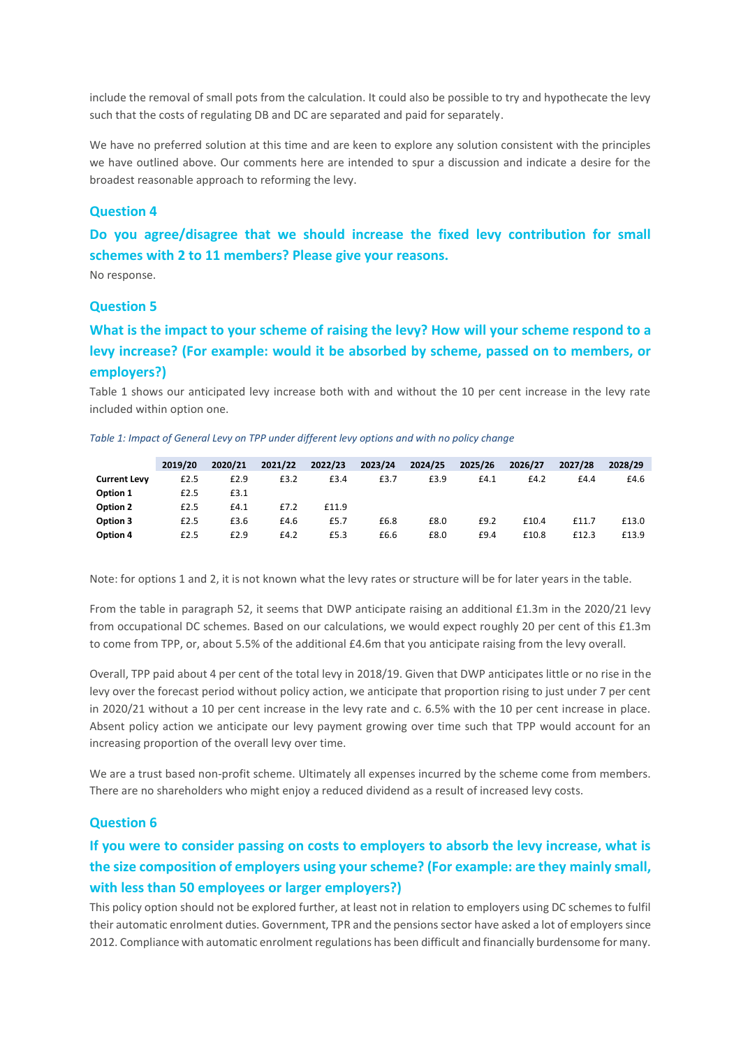include the removal of small pots from the calculation. It could also be possible to try and hypothecate the levy such that the costs of regulating DB and DC are separated and paid for separately.

We have no preferred solution at this time and are keen to explore any solution consistent with the principles we have outlined above. Our comments here are intended to spur a discussion and indicate a desire for the broadest reasonable approach to reforming the levy.

### **Question 4**

**Do you agree/disagree that we should increase the fixed levy contribution for small schemes with 2 to 11 members? Please give your reasons.**

No response.

### **Question 5**

### **What is the impact to your scheme of raising the levy? How will your scheme respond to a levy increase? (For example: would it be absorbed by scheme, passed on to members, or employers?)**

Table 1 shows our anticipated levy increase both with and without the 10 per cent increase in the levy rate included within option one.

*Table 1: Impact of General Levy on TPP under different levy options and with no policy change* 

|                     | 2019/20 | 2020/21 | 2021/22 | 2022/23 | 2023/24 | 2024/25 | 2025/26 | 2026/27 | 2027/28 | 2028/29 |
|---------------------|---------|---------|---------|---------|---------|---------|---------|---------|---------|---------|
| <b>Current Levy</b> | £2.5    | £2.9    | £3.2    | £3.4    | £3.7    | £3.9    | E4.1    | £4.2    | £4.4    | £4.6    |
| Option 1            | £2.5    | £3.1    |         |         |         |         |         |         |         |         |
| Option 2            | £2.5    | £4.1    | £7.2    | £11.9   |         |         |         |         |         |         |
| Option 3            | £2.5    | £3.6    | £4.6    | £5.7    | £6.8    | £8.0    | £9.2    | £10.4   | £11.7   | £13.0   |
| Option 4            | £2.5    | £2.9    | £4.2    | £5.3    | £6.6    | £8.0    | £9.4    | £10.8   | £12.3   | £13.9   |

Note: for options 1 and 2, it is not known what the levy rates or structure will be for later years in the table.

From the table in paragraph 52, it seems that DWP anticipate raising an additional £1.3m in the 2020/21 levy from occupational DC schemes. Based on our calculations, we would expect roughly 20 per cent of this £1.3m to come from TPP, or, about 5.5% of the additional £4.6m that you anticipate raising from the levy overall.

Overall, TPP paid about 4 per cent of the total levy in 2018/19. Given that DWP anticipates little or no rise in the levy over the forecast period without policy action, we anticipate that proportion rising to just under 7 per cent in 2020/21 without a 10 per cent increase in the levy rate and c. 6.5% with the 10 per cent increase in place. Absent policy action we anticipate our levy payment growing over time such that TPP would account for an increasing proportion of the overall levy over time.

We are a trust based non-profit scheme. Ultimately all expenses incurred by the scheme come from members. There are no shareholders who might enjoy a reduced dividend as a result of increased levy costs.

### **Question 6**

### **If you were to consider passing on costs to employers to absorb the levy increase, what is the size composition of employers using your scheme? (For example: are they mainly small, with less than 50 employees or larger employers?)**

This policy option should not be explored further, at least not in relation to employers using DC schemes to fulfil their automatic enrolment duties. Government, TPR and the pensions sector have asked a lot of employers since 2012. Compliance with automatic enrolment regulations has been difficult and financially burdensome for many.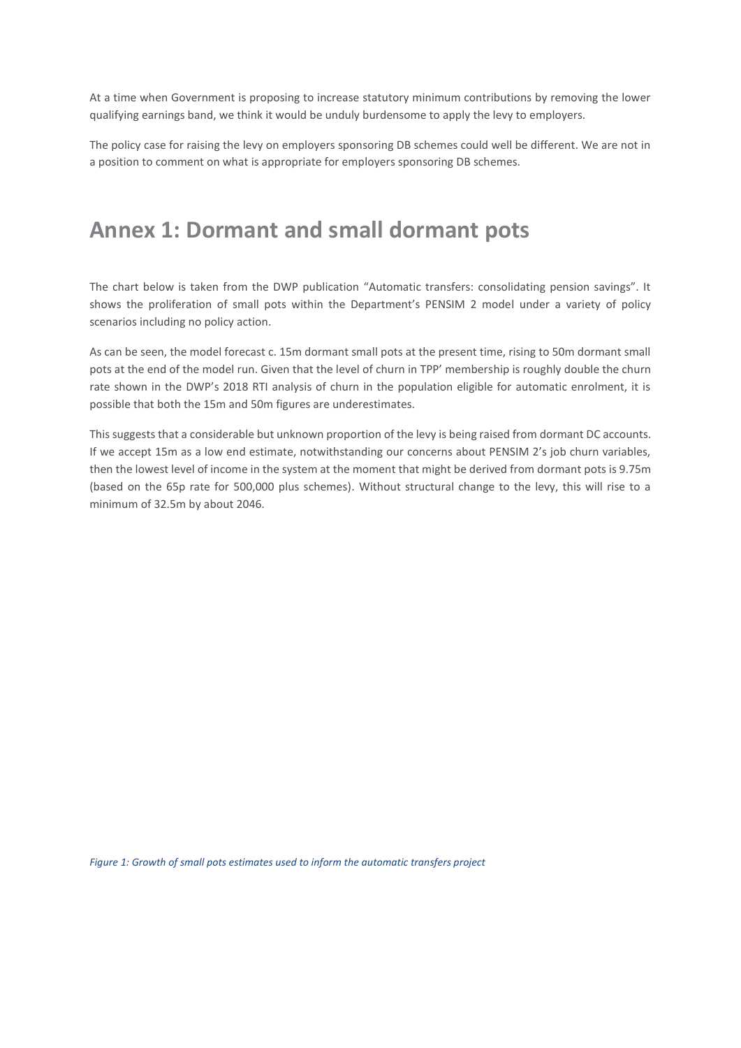At a time when Government is proposing to increase statutory minimum contributions by removing the lower qualifying earnings band, we think it would be unduly burdensome to apply the levy to employers.

The policy case for raising the levy on employers sponsoring DB schemes could well be different. We are not in a position to comment on what is appropriate for employers sponsoring DB schemes.

## **Annex 1: Dormant and small dormant pots**

The chart below is taken from the DWP publication "Automatic transfers: consolidating pension savings". It shows the proliferation of small pots within the Department's PENSIM 2 model under a variety of policy scenarios including no policy action.

As can be seen, the model forecast c. 15m dormant small pots at the present time, rising to 50m dormant small pots at the end of the model run. Given that the level of churn in TPP' membership is roughly double the churn rate shown in the DWP's 2018 RTI analysis of churn in the population eligible for automatic enrolment, it is possible that both the 15m and 50m figures are underestimates.

This suggests that a considerable but unknown proportion of the levy is being raised from dormant DC accounts. If we accept 15m as a low end estimate, notwithstanding our concerns about PENSIM 2's job churn variables, then the lowest level of income in the system at the moment that might be derived from dormant pots is 9.75m (based on the 65p rate for 500,000 plus schemes). Without structural change to the levy, this will rise to a minimum of 32.5m by about 2046.

*Figure 1: Growth of small pots estimates used to inform the automatic transfers project*